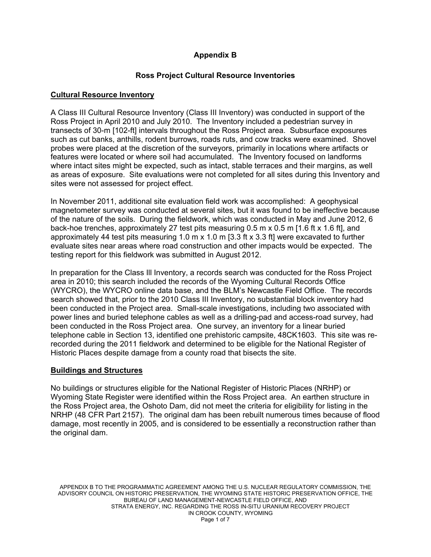# **Appendix B**

# **Ross Project Cultural Resource Inventories**

## **Cultural Resource Inventory**

A Class III Cultural Resource Inventory (Class III Inventory) was conducted in support of the Ross Project in April 2010 and July 2010. The Inventory included a pedestrian survey in transects of 30-m [102-ft] intervals throughout the Ross Project area. Subsurface exposures such as cut banks, anthills, rodent burrows, roads ruts, and cow tracks were examined. Shovel probes were placed at the discretion of the surveyors, primarily in locations where artifacts or features were located or where soil had accumulated. The Inventory focused on landforms where intact sites might be expected, such as intact, stable terraces and their margins, as well as areas of exposure. Site evaluations were not completed for all sites during this Inventory and sites were not assessed for project effect.

In November 2011, additional site evaluation field work was accomplished: A geophysical magnetometer survey was conducted at several sites, but it was found to be ineffective because of the nature of the soils. During the fieldwork, which was conducted in May and June 2012, 6 back-hoe trenches, approximately 27 test pits measuring 0.5 m x 0.5 m [1.6 ft x 1.6 ft], and approximately 44 test pits measuring 1.0 m  $\times$  1.0 m [3.3 ft  $\times$  3.3 ft] were excavated to further evaluate sites near areas where road construction and other impacts would be expected. The testing report for this fieldwork was submitted in August 2012.

In preparation for the Class Ill Inventory, a records search was conducted for the Ross Project area in 2010; this search included the records of the Wyoming Cultural Records Office (WYCRO), the WYCRO online data base, and the BLM's Newcastle Field Office. The records search showed that, prior to the 2010 Class III Inventory, no substantial block inventory had been conducted in the Project area. Small-scale investigations, including two associated with power lines and buried telephone cables as well as a drilling-pad and access-road survey, had been conducted in the Ross Project area. One survey, an inventory for a linear buried telephone cable in Section 13, identified one prehistoric campsite, 48CK1603. This site was rerecorded during the 2011 fieldwork and determined to be eligible for the National Register of Historic Places despite damage from a county road that bisects the site.

## **Buildings and Structures**

No buildings or structures eligible for the National Register of Historic Places (NRHP) or Wyoming State Register were identified within the Ross Project area. An earthen structure in the Ross Project area, the Oshoto Dam, did not meet the criteria for eligibility for listing in the NRHP (48 CFR Part 2157). The original dam has been rebuilt numerous times because of flood damage, most recently in 2005, and is considered to be essentially a reconstruction rather than the original dam.

APPENDIX B TO THE PROGRAMMATIC AGREEMENT AMONG THE U.S. NUCLEAR REGULATORY COMMISSION, THE ADVISORY COUNCIL ON HISTORIC PRESERVATION, THE WYOMING STATE HISTORIC PRESERVATION OFFICE, THE BUREAU OF LAND MANAGEMENT-NEWCASTLE FIELD OFFICE, AND STRATA ENERGY, INC. REGARDING THE ROSS IN-SITU URANIUM RECOVERY PROJECT IN CROOK COUNTY, WYOMING Page 1 of 7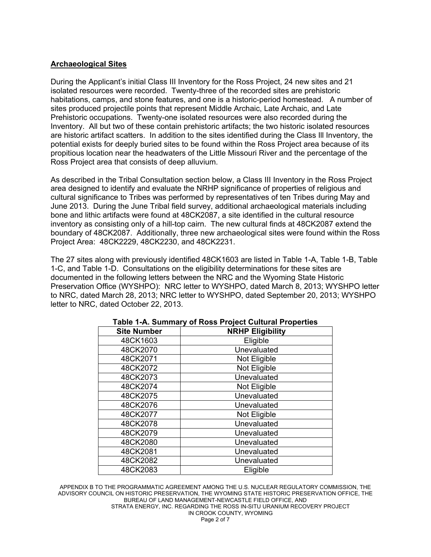## **Archaeological Sites**

During the Applicant's initial Class III Inventory for the Ross Project, 24 new sites and 21 isolated resources were recorded. Twenty-three of the recorded sites are prehistoric habitations, camps, and stone features, and one is a historic-period homestead. A number of sites produced projectile points that represent Middle Archaic, Late Archaic, and Late Prehistoric occupations. Twenty-one isolated resources were also recorded during the Inventory. All but two of these contain prehistoric artifacts; the two historic isolated resources are historic artifact scatters. In addition to the sites identified during the Class Ill Inventory, the potential exists for deeply buried sites to be found within the Ross Project area because of its propitious location near the headwaters of the Little Missouri River and the percentage of the Ross Project area that consists of deep alluvium.

As described in the Tribal Consultation section below, a Class III Inventory in the Ross Project area designed to identify and evaluate the NRHP significance of properties of religious and cultural significance to Tribes was performed by representatives of ten Tribes during May and June 2013. During the June Tribal field survey, additional archaeological materials including bone and lithic artifacts were found at 48CK2087, a site identified in the cultural resource inventory as consisting only of a hill-top cairn. The new cultural finds at 48CK2087 extend the boundary of 48CK2087. Additionally, three new archaeological sites were found within the Ross Project Area: 48CK2229, 48CK2230, and 48CK2231.

The 27 sites along with previously identified 48CK1603 are listed in Table 1-A, Table 1-B, Table 1-C, and Table 1-D. Consultations on the eligibility determinations for these sites are documented in the following letters between the NRC and the Wyoming State Historic Preservation Office (WYSHPO): NRC letter to WYSHPO, dated March 8, 2013; WYSHPO letter to NRC, dated March 28, 2013; NRC letter to WYSHPO, dated September 20, 2013; WYSHPO letter to NRC, dated October 22, 2013.

| <b>Site Number</b> | <b>NRHP Eligibility</b> |
|--------------------|-------------------------|
| 48CK1603           | Eligible                |
| 48CK2070           | Unevaluated             |
| 48CK2071           | Not Eligible            |
| 48CK2072           | Not Eligible            |
| 48CK2073           | Unevaluated             |
| 48CK2074           | Not Eligible            |
| 48CK2075           | Unevaluated             |
| 48CK2076           | Unevaluated             |
| 48CK2077           | Not Eligible            |
| 48CK2078           | Unevaluated             |
| 48CK2079           | Unevaluated             |
| 48CK2080           | Unevaluated             |
| 48CK2081           | Unevaluated             |
| 48CK2082           | Unevaluated             |
| 48CK2083           | Eligible                |

## **Table 1-A. Summary of Ross Project Cultural Properties**

APPENDIX B TO THE PROGRAMMATIC AGREEMENT AMONG THE U.S. NUCLEAR REGULATORY COMMISSION, THE ADVISORY COUNCIL ON HISTORIC PRESERVATION, THE WYOMING STATE HISTORIC PRESERVATION OFFICE, THE BUREAU OF LAND MANAGEMENT-NEWCASTLE FIELD OFFICE, AND STRATA ENERGY, INC. REGARDING THE ROSS IN-SITU URANIUM RECOVERY PROJECT IN CROOK COUNTY, WYOMING Page 2 of 7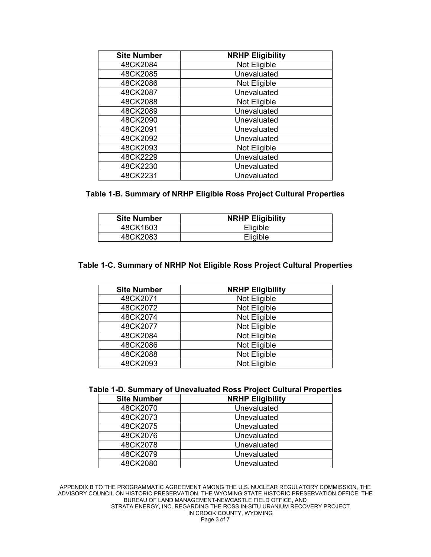| <b>Site Number</b> | <b>NRHP Eligibility</b> |
|--------------------|-------------------------|
| 48CK2084           | Not Eligible            |
| 48CK2085           | Unevaluated             |
| 48CK2086           | Not Eligible            |
| 48CK2087           | Unevaluated             |
| 48CK2088           | Not Eligible            |
| 48CK2089           | Unevaluated             |
| 48CK2090           | Unevaluated             |
| 48CK2091           | Unevaluated             |
| 48CK2092           | Unevaluated             |
| 48CK2093           | Not Eligible            |
| 48CK2229           | Unevaluated             |
| 48CK2230           | Unevaluated             |
| 48CK2231           | Unevaluated             |

## **Table 1-B. Summary of NRHP Eligible Ross Project Cultural Properties**

| <b>Site Number</b> | <b>NRHP Eligibility</b> |
|--------------------|-------------------------|
| 48CK1603           | Eligible                |
| 48CK2083           | Eligible                |

#### **Table 1-C. Summary of NRHP Not Eligible Ross Project Cultural Properties**

| <b>Site Number</b> | <b>NRHP Eligibility</b> |
|--------------------|-------------------------|
| 48CK2071           | Not Eligible            |
| 48CK2072           | Not Eligible            |
| 48CK2074           | Not Eligible            |
| 48CK2077           | Not Eligible            |
| 48CK2084           | Not Eligible            |
| 48CK2086           | Not Eligible            |
| 48CK2088           | Not Eligible            |
| 48CK2093           | Not Eligible            |

#### **Table 1-D. Summary of Unevaluated Ross Project Cultural Properties**

| <b>Site Number</b> | <b>NRHP Eligibility</b> |
|--------------------|-------------------------|
| 48CK2070           | Unevaluated             |
| 48CK2073           | Unevaluated             |
| 48CK2075           | Unevaluated             |
| 48CK2076           | Unevaluated             |
| 48CK2078           | Unevaluated             |
| 48CK2079           | Unevaluated             |
| 48CK2080           | Unevaluated             |

APPENDIX B TO THE PROGRAMMATIC AGREEMENT AMONG THE U.S. NUCLEAR REGULATORY COMMISSION, THE ADVISORY COUNCIL ON HISTORIC PRESERVATION, THE WYOMING STATE HISTORIC PRESERVATION OFFICE, THE BUREAU OF LAND MANAGEMENT-NEWCASTLE FIELD OFFICE, AND STRATA ENERGY, INC. REGARDING THE ROSS IN-SITU URANIUM RECOVERY PROJECT IN CROOK COUNTY, WYOMING Page 3 of 7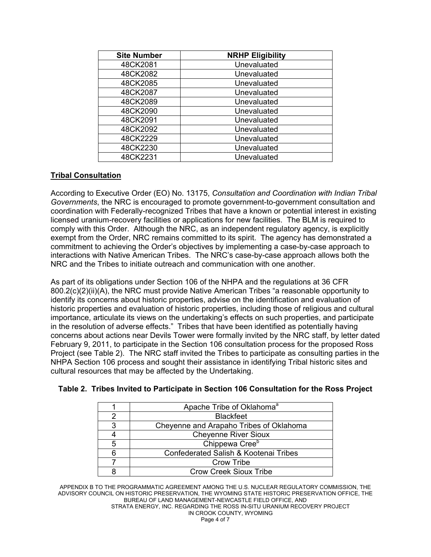| <b>Site Number</b> | <b>NRHP Eligibility</b> |
|--------------------|-------------------------|
| 48CK2081           | Unevaluated             |
| 48CK2082           | Unevaluated             |
| 48CK2085           | Unevaluated             |
| 48CK2087           | Unevaluated             |
| 48CK2089           | Unevaluated             |
| 48CK2090           | Unevaluated             |
| 48CK2091           | Unevaluated             |
| 48CK2092           | Unevaluated             |
| 48CK2229           | Unevaluated             |
| 48CK2230           | Unevaluated             |
| 48CK2231           | Unevaluated             |

# **Tribal Consultation**

According to Executive Order (EO) No. 13175, *Consultation and Coordination with Indian Tribal Governments*, the NRC is encouraged to promote government-to-government consultation and coordination with Federally-recognized Tribes that have a known or potential interest in existing licensed uranium-recovery facilities or applications for new facilities. The BLM is required to comply with this Order. Although the NRC, as an independent regulatory agency, is explicitly exempt from the Order, NRC remains committed to its spirit. The agency has demonstrated a commitment to achieving the Order's objectives by implementing a case-by-case approach to interactions with Native American Tribes. The NRC's case-by-case approach allows both the NRC and the Tribes to initiate outreach and communication with one another.

As part of its obligations under Section 106 of the NHPA and the regulations at 36 CFR 800.2(c)(2)(ii)(A), the NRC must provide Native American Tribes "a reasonable opportunity to identify its concerns about historic properties, advise on the identification and evaluation of historic properties and evaluation of historic properties, including those of religious and cultural importance, articulate its views on the undertaking's effects on such properties, and participate in the resolution of adverse effects." Tribes that have been identified as potentially having concerns about actions near Devils Tower were formally invited by the NRC staff, by letter dated February 9, 2011, to participate in the Section 106 consultation process for the proposed Ross Project (see Table 2). The NRC staff invited the Tribes to participate as consulting parties in the NHPA Section 106 process and sought their assistance in identifying Tribal historic sites and cultural resources that may be affected by the Undertaking.

|   | Apache Tribe of Oklahoma <sup>a</sup>   |
|---|-----------------------------------------|
|   | <b>Blackfeet</b>                        |
| 3 | Cheyenne and Arapaho Tribes of Oklahoma |
|   | <b>Cheyenne River Sioux</b>             |
| 5 | Chippewa Cree <sup>b</sup>              |
|   | Confederated Salish & Kootenai Tribes   |
|   | <b>Crow Tribe</b>                       |
|   | <b>Crow Creek Sioux Tribe</b>           |

## **Table 2. Tribes Invited to Participate in Section 106 Consultation for the Ross Project**

APPENDIX B TO THE PROGRAMMATIC AGREEMENT AMONG THE U.S. NUCLEAR REGULATORY COMMISSION, THE ADVISORY COUNCIL ON HISTORIC PRESERVATION, THE WYOMING STATE HISTORIC PRESERVATION OFFICE, THE BUREAU OF LAND MANAGEMENT-NEWCASTLE FIELD OFFICE, AND STRATA ENERGY, INC. REGARDING THE ROSS IN-SITU URANIUM RECOVERY PROJECT IN CROOK COUNTY, WYOMING Page 4 of 7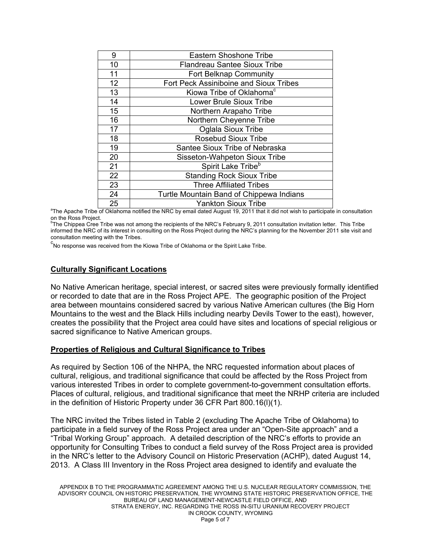| 9  | Eastern Shoshone Tribe                   |
|----|------------------------------------------|
| 10 | <b>Flandreau Santee Sioux Tribe</b>      |
| 11 | Fort Belknap Community                   |
| 12 | Fort Peck Assiniboine and Sioux Tribes   |
| 13 | Kiowa Tribe of Oklahoma <sup>c</sup>     |
| 14 | <b>Lower Brule Sioux Tribe</b>           |
| 15 | Northern Arapaho Tribe                   |
| 16 | Northern Cheyenne Tribe                  |
| 17 | <b>Oglala Sioux Tribe</b>                |
| 18 | <b>Rosebud Sioux Tribe</b>               |
| 19 | Santee Sioux Tribe of Nebraska           |
| 20 | Sisseton-Wahpeton Sioux Tribe            |
| 21 | Spirit Lake Tribe <sup>b</sup>           |
| 22 | <b>Standing Rock Sioux Tribe</b>         |
| 23 | <b>Three Affiliated Tribes</b>           |
| 24 | Turtle Mountain Band of Chippewa Indians |
| 25 | <b>Yankton Sioux Tribe</b>               |

 $\begin{array}{|l|} \text{25} \end{array}$  Yankton Sioux Tribe<br>The Apache Tribe of Oklahoma notified the NRC by email dated August 19, 2011 that it did not wish to participate in consultation on the Ross Project.

<sup>b</sup>The Chippea Cree Tribe was not among the recipients of the NRC's February 9, 2011 consultation invitation letter. This Tribe informed the NRC of its interest in consulting on the Ross Project during the NRC's planning for the November 2011 site visit and consultation meeting with the Tribes.

<sup>c</sup><br>No response was received from the Kiowa Tribe of Oklahoma or the Spirit Lake Tribe.

## **Culturally Significant Locations**

No Native American heritage, special interest, or sacred sites were previously formally identified or recorded to date that are in the Ross Project APE. The geographic position of the Project area between mountains considered sacred by various Native American cultures (the Big Horn Mountains to the west and the Black Hills including nearby Devils Tower to the east), however, creates the possibility that the Project area could have sites and locations of special religious or sacred significance to Native American groups.

#### **Properties of Religious and Cultural Significance to Tribes**

As required by Section 106 of the NHPA, the NRC requested information about places of cultural, religious, and traditional significance that could be affected by the Ross Project from various interested Tribes in order to complete government-to-government consultation efforts. Places of cultural, religious, and traditional significance that meet the NRHP criteria are included in the definition of Historic Property under 36 CFR Part 800.16(l)(1).

The NRC invited the Tribes listed in Table 2 (excluding The Apache Tribe of Oklahoma) to participate in a field survey of the Ross Project area under an "Open-Site approach" and a "Tribal Working Group" approach. A detailed description of the NRC's efforts to provide an opportunity for Consulting Tribes to conduct a field survey of the Ross Project area is provided in the NRC's letter to the Advisory Council on Historic Preservation (ACHP), dated August 14, 2013. A Class III Inventory in the Ross Project area designed to identify and evaluate the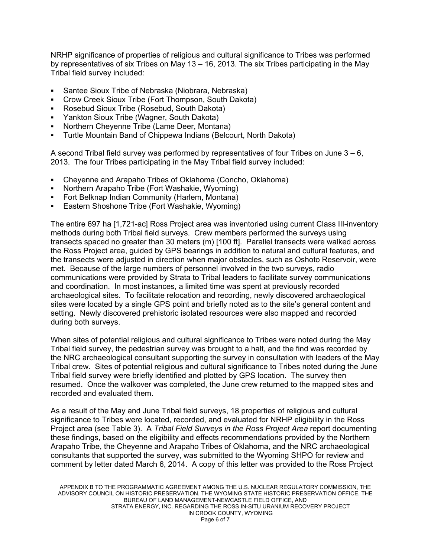NRHP significance of properties of religious and cultural significance to Tribes was performed by representatives of six Tribes on May 13 – 16, 2013. The six Tribes participating in the May Tribal field survey included:

- Santee Sioux Tribe of Nebraska (Niobrara, Nebraska)
- Crow Creek Sioux Tribe (Fort Thompson, South Dakota)
- Rosebud Sioux Tribe (Rosebud, South Dakota)
- Yankton Sioux Tribe (Wagner, South Dakota)
- Northern Cheyenne Tribe (Lame Deer, Montana)
- Turtle Mountain Band of Chippewa Indians (Belcourt, North Dakota)

A second Tribal field survey was performed by representatives of four Tribes on June  $3 - 6$ , 2013. The four Tribes participating in the May Tribal field survey included:

- Cheyenne and Arapaho Tribes of Oklahoma (Concho, Oklahoma)
- Northern Arapaho Tribe (Fort Washakie, Wyoming)
- Fort Belknap Indian Community (Harlem, Montana)
- Eastern Shoshone Tribe (Fort Washakie, Wyoming)

The entire 697 ha [1,721-ac] Ross Project area was inventoried using current Class III-inventory methods during both Tribal field surveys. Crew members performed the surveys using transects spaced no greater than 30 meters (m) [100 ft]. Parallel transects were walked across the Ross Project area, guided by GPS bearings in addition to natural and cultural features, and the transects were adjusted in direction when major obstacles, such as Oshoto Reservoir, were met. Because of the large numbers of personnel involved in the two surveys, radio communications were provided by Strata to Tribal leaders to facilitate survey communications and coordination. In most instances, a limited time was spent at previously recorded archaeological sites. To facilitate relocation and recording, newly discovered archaeological sites were located by a single GPS point and briefly noted as to the site's general content and setting. Newly discovered prehistoric isolated resources were also mapped and recorded during both surveys.

When sites of potential religious and cultural significance to Tribes were noted during the May Tribal field survey, the pedestrian survey was brought to a halt, and the find was recorded by the NRC archaeological consultant supporting the survey in consultation with leaders of the May Tribal crew. Sites of potential religious and cultural significance to Tribes noted during the June Tribal field survey were briefly identified and plotted by GPS location. The survey then resumed. Once the walkover was completed, the June crew returned to the mapped sites and recorded and evaluated them.

As a result of the May and June Tribal field surveys, 18 properties of religious and cultural significance to Tribes were located, recorded, and evaluated for NRHP eligibility in the Ross Project area (see Table 3). A *Tribal Field Surveys in the Ross Project Area* report documenting these findings, based on the eligibility and effects recommendations provided by the Northern Arapaho Tribe, the Cheyenne and Arapaho Tribes of Oklahoma, and the NRC archaeological consultants that supported the survey, was submitted to the Wyoming SHPO for review and comment by letter dated March 6, 2014. A copy of this letter was provided to the Ross Project